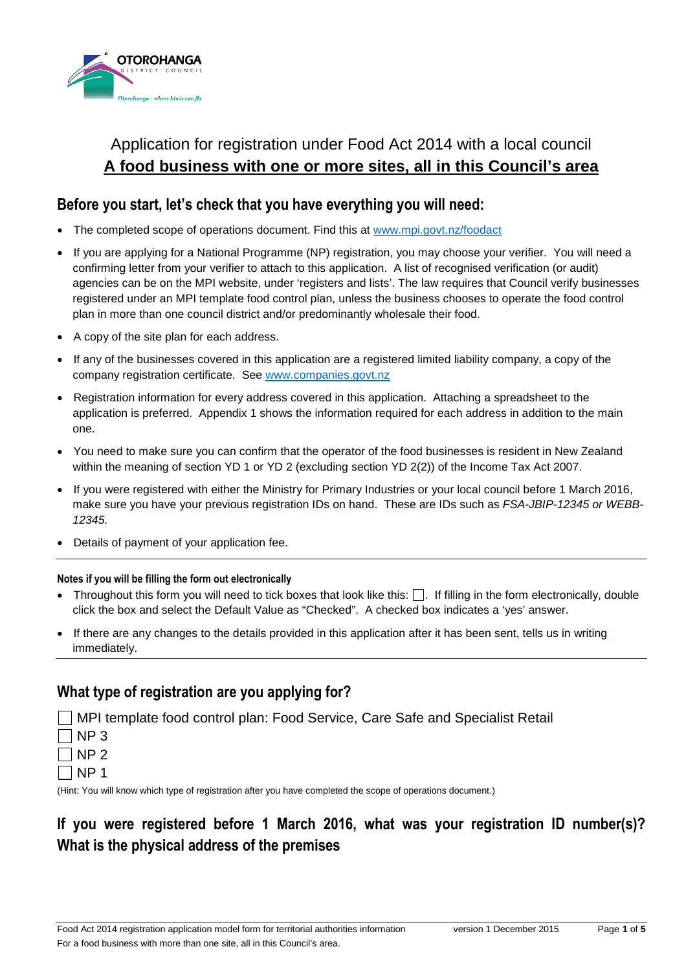

# Application for registration under Food Act 2014 with a local council **A food business with one or more sites, all in this Council's area**

### **Before you start, let's check that you have everything you will need:**

- The completed scope of operations document. Find this at www.mpi.govt.nz/foodact
- If you are applying for a National Programme (NP) registration, you may choose your verifier. You will need a confirming letter from your verifier to attach to this application. A list of recognised verification (or audit) agencies can be on the MPI website, under 'registers and lists'. The law requires that Council verify businesses registered under an MPI template food control plan, unless the business chooses to operate the food control plan in more than one council district and/or predominantly wholesale their food.
- A copy of the site plan for each address.
- If any of the businesses covered in this application are a registered limited liability company, a copy of the company registration certificate. See www.companies.govt.nz
- Registration information for every address covered in this application. Attaching a spreadsheet to the application is preferred. Appendix 1 shows the information required for each address in addition to the main one.
- You need to make sure you can confirm that the operator of the food businesses is resident in New Zealand within the meaning of section YD 1 or YD 2 (excluding section YD 2(2)) of the Income Tax Act 2007.
- If you were registered with either the Ministry for Primary Industries or your local council before 1 March 2016, make sure you have your previous registration IDs on hand. These are IDs such as *FSA-JBIP-12345 or WEBB-12345.*
- Details of payment of your application fee.

#### **Notes if you will be filling the form out electronically**

- Throughout this form you will need to tick boxes that look like this:  $\Box$ . If filling in the form electronically, double click the box and select the Default Value as "Checked". A checked box indicates a 'yes' answer.
- If there are any changes to the details provided in this application after it has been sent, tells us in writing immediately.

## **What type of registration are you applying for?**

MPI template food control plan: Food Service, Care Safe and Specialist Retail  $\neg$  NP 3  $\neg$  NP 2  $\sqcap$  NP 1 (Hint: You will know which type of registration after you have completed the scope of operations document.)

**If you were registered before 1 March 2016, what was your registration ID number(s)? What is the physical address of the premises**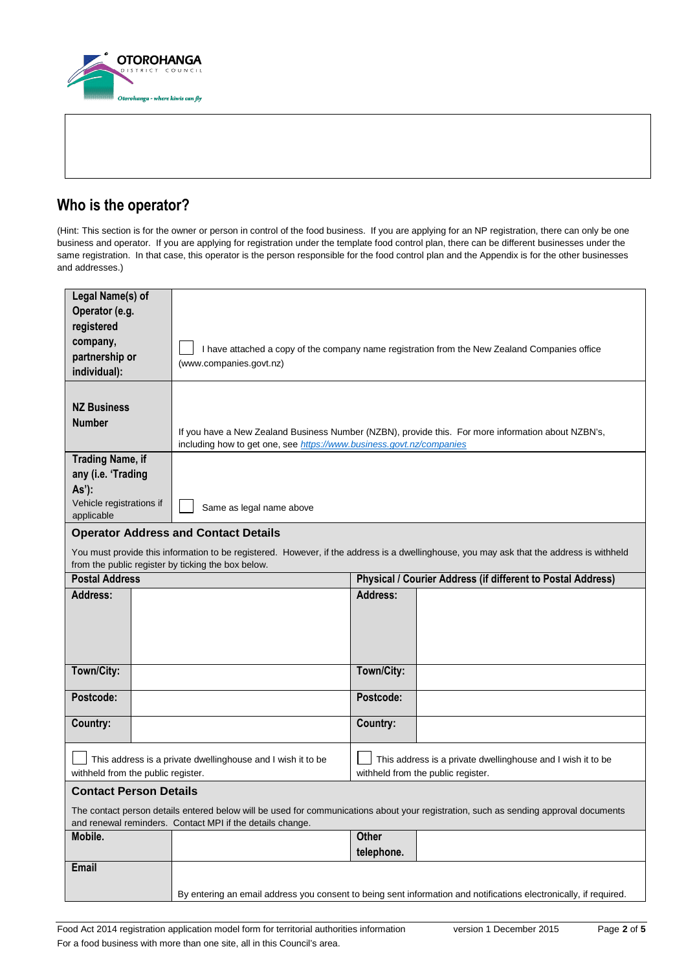

## **Who is the operator?**

(Hint: This section is for the owner or person in control of the food business. If you are applying for an NP registration, there can only be one business and operator. If you are applying for registration under the template food control plan, there can be different businesses under the same registration. In that case, this operator is the person responsible for the food control plan and the Appendix is for the other businesses and addresses.)

| Legal Name(s) of<br>Operator (e.g.<br>registered<br>company,<br>partnership or<br>individual):                                                                                                    | I have attached a copy of the company name registration from the New Zealand Companies office<br>(www.companies.govt.nz)                                                   |                                                                                                                                          |  |  |  |
|---------------------------------------------------------------------------------------------------------------------------------------------------------------------------------------------------|----------------------------------------------------------------------------------------------------------------------------------------------------------------------------|------------------------------------------------------------------------------------------------------------------------------------------|--|--|--|
| <b>NZ Business</b><br><b>Number</b>                                                                                                                                                               | If you have a New Zealand Business Number (NZBN), provide this. For more information about NZBN's,<br>including how to get one, see https://www.business.govt.nz/companies |                                                                                                                                          |  |  |  |
| <b>Trading Name, if</b><br>any (i.e. 'Trading                                                                                                                                                     |                                                                                                                                                                            |                                                                                                                                          |  |  |  |
| As'):                                                                                                                                                                                             |                                                                                                                                                                            |                                                                                                                                          |  |  |  |
| Vehicle registrations if<br>applicable                                                                                                                                                            | Same as legal name above                                                                                                                                                   |                                                                                                                                          |  |  |  |
|                                                                                                                                                                                                   | <b>Operator Address and Contact Details</b>                                                                                                                                |                                                                                                                                          |  |  |  |
|                                                                                                                                                                                                   |                                                                                                                                                                            | You must provide this information to be registered. However, if the address is a dwellinghouse, you may ask that the address is withheld |  |  |  |
| from the public register by ticking the box below.<br><b>Postal Address</b><br>Physical / Courier Address (if different to Postal Address)                                                        |                                                                                                                                                                            |                                                                                                                                          |  |  |  |
| <b>Address:</b>                                                                                                                                                                                   |                                                                                                                                                                            | Address:                                                                                                                                 |  |  |  |
|                                                                                                                                                                                                   |                                                                                                                                                                            |                                                                                                                                          |  |  |  |
| Town/City:                                                                                                                                                                                        |                                                                                                                                                                            | Town/City:                                                                                                                               |  |  |  |
| Postcode:                                                                                                                                                                                         |                                                                                                                                                                            | Postcode:                                                                                                                                |  |  |  |
| Country:                                                                                                                                                                                          |                                                                                                                                                                            | Country:                                                                                                                                 |  |  |  |
| withheld from the public register.                                                                                                                                                                | This address is a private dwellinghouse and I wish it to be                                                                                                                | This address is a private dwellinghouse and I wish it to be<br>withheld from the public register.                                        |  |  |  |
| <b>Contact Person Details</b>                                                                                                                                                                     |                                                                                                                                                                            |                                                                                                                                          |  |  |  |
| The contact person details entered below will be used for communications about your registration, such as sending approval documents<br>and renewal reminders. Contact MPI if the details change. |                                                                                                                                                                            |                                                                                                                                          |  |  |  |
| Mobile.                                                                                                                                                                                           |                                                                                                                                                                            | <b>Other</b><br>telephone.                                                                                                               |  |  |  |
| Email                                                                                                                                                                                             |                                                                                                                                                                            | By entering an email address you consent to being sent information and notifications electronically, if required.                        |  |  |  |
|                                                                                                                                                                                                   |                                                                                                                                                                            |                                                                                                                                          |  |  |  |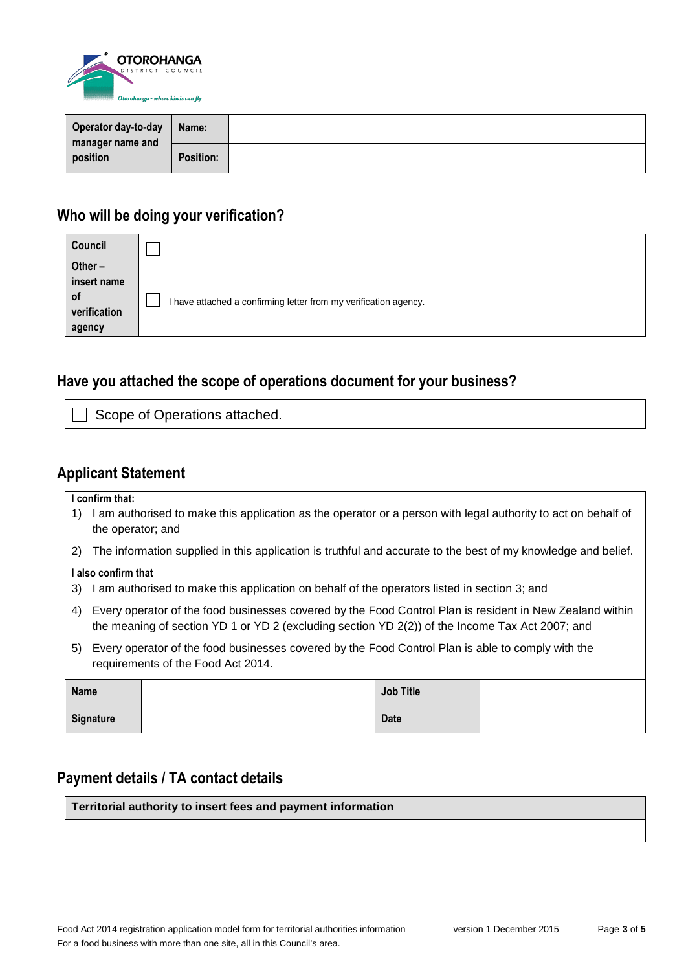

| Operator day-to-day<br>manager name and<br>position | Name:            |  |
|-----------------------------------------------------|------------------|--|
|                                                     | <b>Position:</b> |  |

# **Who will be doing your verification?**

| Council                                     |                                                                  |
|---------------------------------------------|------------------------------------------------------------------|
| Other $-$                                   |                                                                  |
| insert name<br>0f<br>verification<br>agency | I have attached a confirming letter from my verification agency. |

# **Have you attached the scope of operations document for your business?**

Scope of Operations attached.

### **Applicant Statement**

|                  | I confirm that:                                                                                   |                                                                                                                                                                                                             |                  |  |  |  |
|------------------|---------------------------------------------------------------------------------------------------|-------------------------------------------------------------------------------------------------------------------------------------------------------------------------------------------------------------|------------------|--|--|--|
| 1)               | the operator; and                                                                                 | I am authorised to make this application as the operator or a person with legal authority to act on behalf of                                                                                               |                  |  |  |  |
| 2)               |                                                                                                   | The information supplied in this application is truthful and accurate to the best of my knowledge and belief.                                                                                               |                  |  |  |  |
|                  | I also confirm that                                                                               |                                                                                                                                                                                                             |                  |  |  |  |
| 3)               | I am authorised to make this application on behalf of the operators listed in section 3; and      |                                                                                                                                                                                                             |                  |  |  |  |
|                  |                                                                                                   |                                                                                                                                                                                                             |                  |  |  |  |
| 4)               |                                                                                                   | Every operator of the food businesses covered by the Food Control Plan is resident in New Zealand within<br>the meaning of section YD 1 or YD 2 (excluding section YD 2(2)) of the Income Tax Act 2007; and |                  |  |  |  |
| 5)               | Every operator of the food businesses covered by the Food Control Plan is able to comply with the |                                                                                                                                                                                                             |                  |  |  |  |
|                  | requirements of the Food Act 2014.                                                                |                                                                                                                                                                                                             |                  |  |  |  |
|                  |                                                                                                   |                                                                                                                                                                                                             |                  |  |  |  |
| <b>Name</b>      |                                                                                                   |                                                                                                                                                                                                             | <b>Job Title</b> |  |  |  |
| <b>Signature</b> |                                                                                                   |                                                                                                                                                                                                             | <b>Date</b>      |  |  |  |

## **Payment details / TA contact details**

**Territorial authority to insert fees and payment information**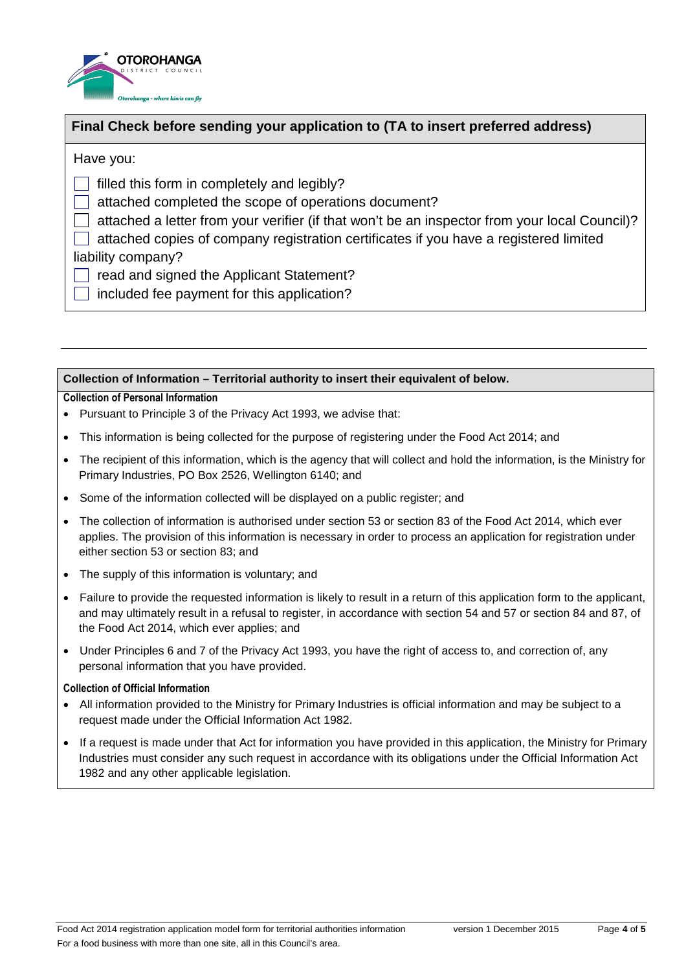

### **Final Check before sending your application to (TA to insert preferred address)**

Have you:

 $\Box$  filled this form in completely and legibly?

attached completed the scope of operations document?

 $\Box$  attached a letter from your verifier (if that won't be an inspector from your local Council)?

attached copies of company registration certificates if you have a registered limited liability company?

 $\Box$  read and signed the Applicant Statement?

 $\overline{\phantom{a}}$  included fee payment for this application?

### **Collection of Information – Territorial authority to insert their equivalent of below.**

### **Collection of Personal Information**

- Pursuant to Principle 3 of the Privacy Act 1993, we advise that:
- This information is being collected for the purpose of registering under the Food Act 2014; and
- The recipient of this information, which is the agency that will collect and hold the information, is the Ministry for Primary Industries, PO Box 2526, Wellington 6140; and
- Some of the information collected will be displayed on a public register; and
- The collection of information is authorised under section 53 or section 83 of the Food Act 2014, which ever applies. The provision of this information is necessary in order to process an application for registration under either section 53 or section 83; and
- The supply of this information is voluntary; and
- Failure to provide the requested information is likely to result in a return of this application form to the applicant, and may ultimately result in a refusal to register, in accordance with section 54 and 57 or section 84 and 87, of the Food Act 2014, which ever applies; and
- Under Principles 6 and 7 of the Privacy Act 1993, you have the right of access to, and correction of, any personal information that you have provided.

#### **Collection of Official Information**

- All information provided to the Ministry for Primary Industries is official information and may be subject to a request made under the Official Information Act 1982.
- If a request is made under that Act for information you have provided in this application, the Ministry for Primary Industries must consider any such request in accordance with its obligations under the Official Information Act 1982 and any other applicable legislation.